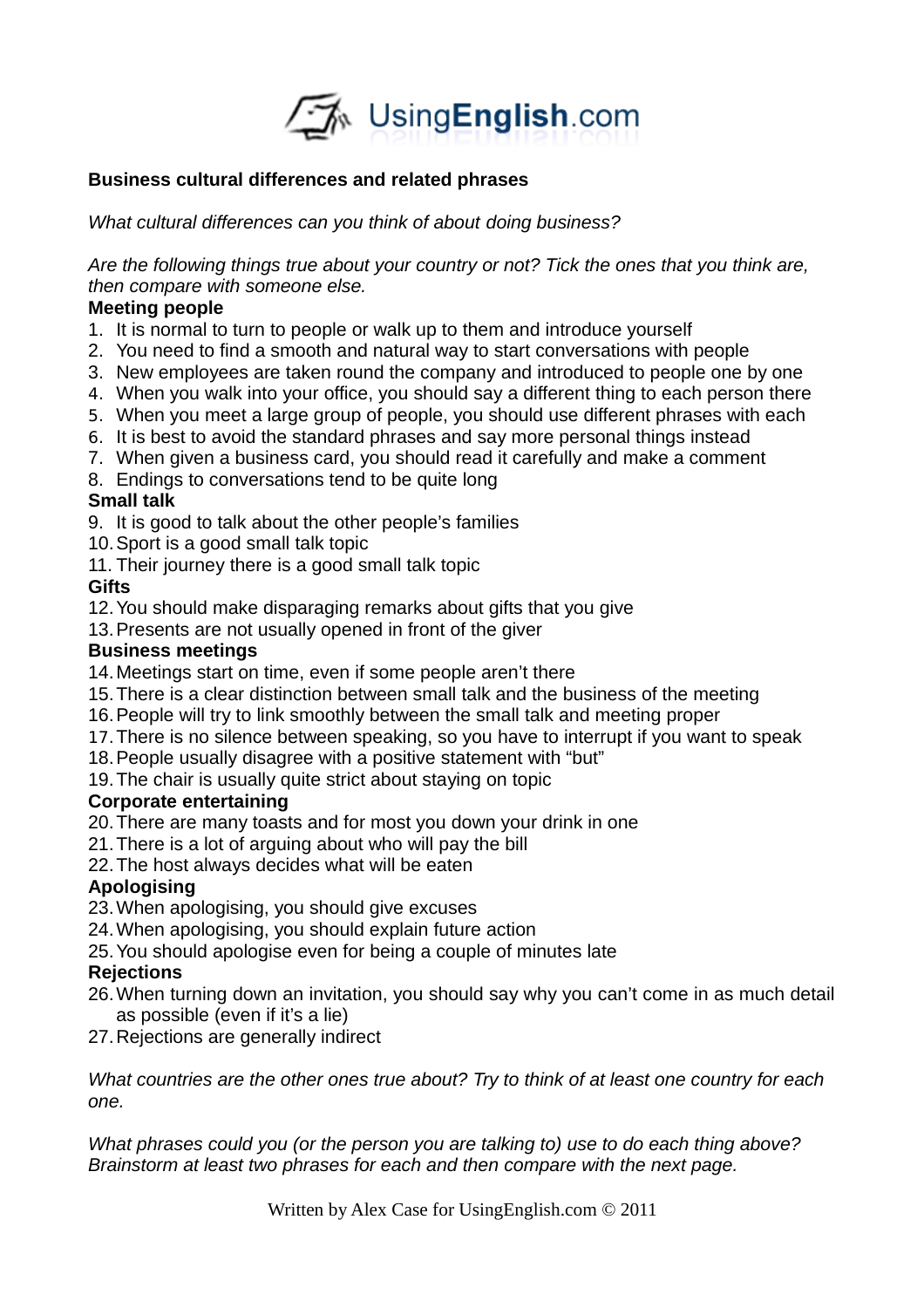

### **Business cultural differences and related phrases**

*What cultural differences can you think of about doing business?*

*Are the following things true about your country or not? Tick the ones that you think are, then compare with someone else.* 

### **Meeting people**

- 1. It is normal to turn to people or walk up to them and introduce yourself
- 2. You need to find a smooth and natural way to start conversations with people
- 3. New employees are taken round the company and introduced to people one by one
- 4. When you walk into your office, you should say a different thing to each person there
- 5. When you meet a large group of people, you should use different phrases with each
- 6. It is best to avoid the standard phrases and say more personal things instead
- 7. When given a business card, you should read it carefully and make a comment
- 8. Endings to conversations tend to be quite long

# **Small talk**

9. It is good to talk about the other people's families

- 10.Sport is a good small talk topic
- 11. Their journey there is a good small talk topic

# **Gifts**

- 12.You should make disparaging remarks about gifts that you give
- 13.Presents are not usually opened in front of the giver

### **Business meetings**

- 14.Meetings start on time, even if some people aren't there
- 15.There is a clear distinction between small talk and the business of the meeting
- 16.People will try to link smoothly between the small talk and meeting proper
- 17.There is no silence between speaking, so you have to interrupt if you want to speak
- 18.People usually disagree with a positive statement with "but"
- 19.The chair is usually quite strict about staying on topic

# **Corporate entertaining**

- 20.There are many toasts and for most you down your drink in one
- 21.There is a lot of arguing about who will pay the bill
- 22.The host always decides what will be eaten

# **Apologising**

- 23.When apologising, you should give excuses
- 24.When apologising, you should explain future action
- 25.You should apologise even for being a couple of minutes late

# **Rejections**

- 26.When turning down an invitation, you should say why you can't come in as much detail as possible (even if it's a lie)
- 27.Rejections are generally indirect

*What countries are the other ones true about? Try to think of at least one country for each one.* 

*What phrases could you (or the person you are talking to) use to do each thing above? Brainstorm at least two phrases for each and then compare with the next page.*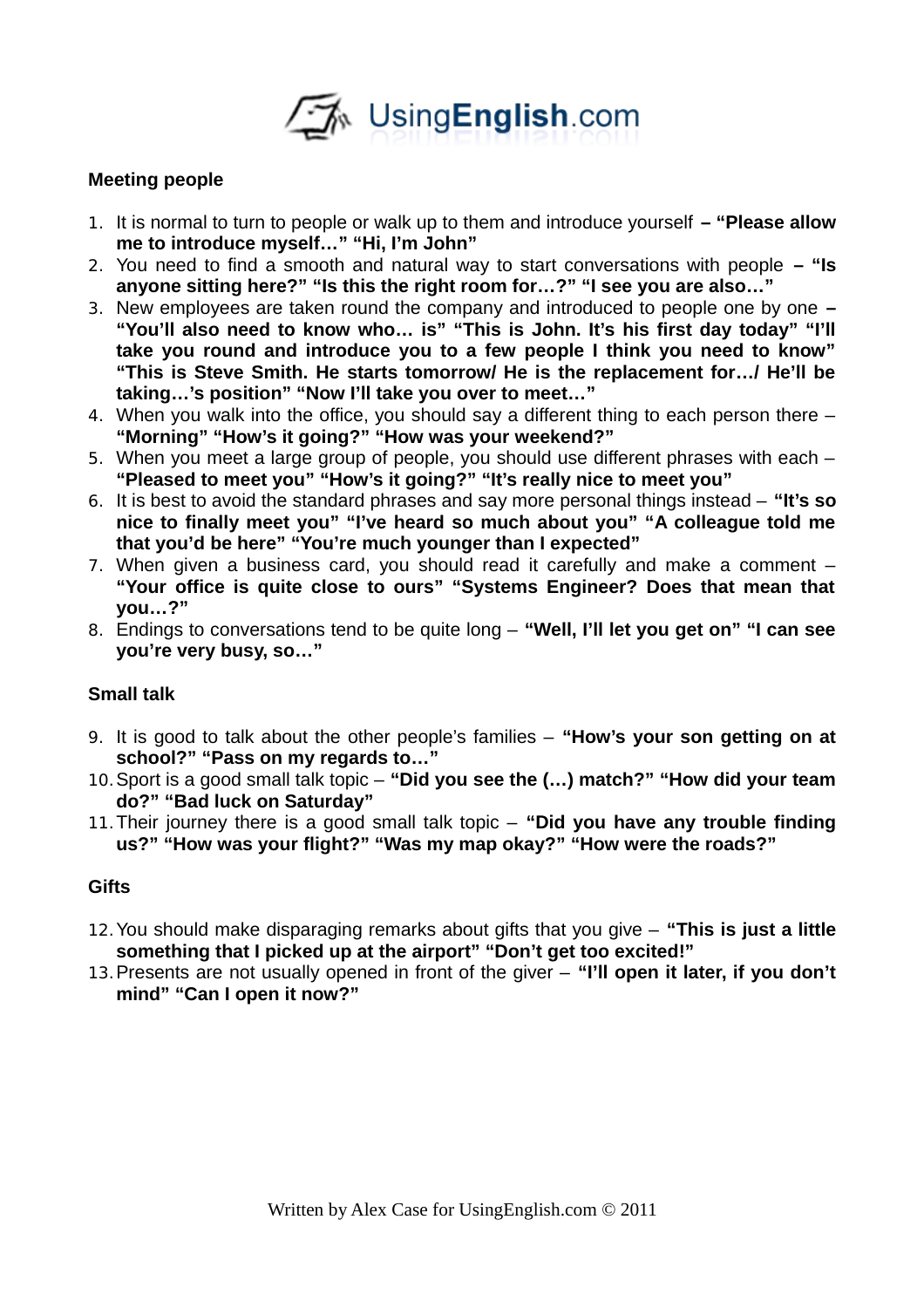

### **Meeting people**

- 1. It is normal to turn to people or walk up to them and introduce yourself  **"Please allow me to introduce myself…" "Hi, I'm John"**
- 2. You need to find a smooth and natural way to start conversations with people  **"Is anyone sitting here?" "Is this the right room for…?" "I see you are also…"**
- 3. New employees are taken round the company and introduced to people one by one **– "You'll also need to know who… is" "This is John. It's his first day today" "I'll take you round and introduce you to a few people I think you need to know" "This is Steve Smith. He starts tomorrow/ He is the replacement for…/ He'll be taking…'s position" "Now I'll take you over to meet…"**
- 4. When you walk into the office, you should say a different thing to each person there **"Morning" "How's it going?" "How was your weekend?"**
- 5. When you meet a large group of people, you should use different phrases with each **"Pleased to meet you" "How's it going?" "It's really nice to meet you"**
- 6. It is best to avoid the standard phrases and say more personal things instead **"It's so nice to finally meet you" "I've heard so much about you" "A colleague told me that you'd be here" "You're much younger than I expected"**
- 7. When given a business card, you should read it carefully and make a comment **"Your office is quite close to ours" "Systems Engineer? Does that mean that you…?"**
- 8. Endings to conversations tend to be quite long **"Well, I'll let you get on" "I can see you're very busy, so…"**

### **Small talk**

- 9. It is good to talk about the other people's families **"How's your son getting on at school?" "Pass on my regards to…"**
- 10.Sport is a good small talk topic **"Did you see the (…) match?" "How did your team do?" "Bad luck on Saturday"**
- 11.Their journey there is a good small talk topic **"Did you have any trouble finding us?" "How was your flight?" "Was my map okay?" "How were the roads?"**

#### **Gifts**

- 12.You should make disparaging remarks about gifts that you give **"This is just a little something that I picked up at the airport" "Don't get too excited!"**
- 13.Presents are not usually opened in front of the giver **"I'll open it later, if you don't mind" "Can I open it now?"**